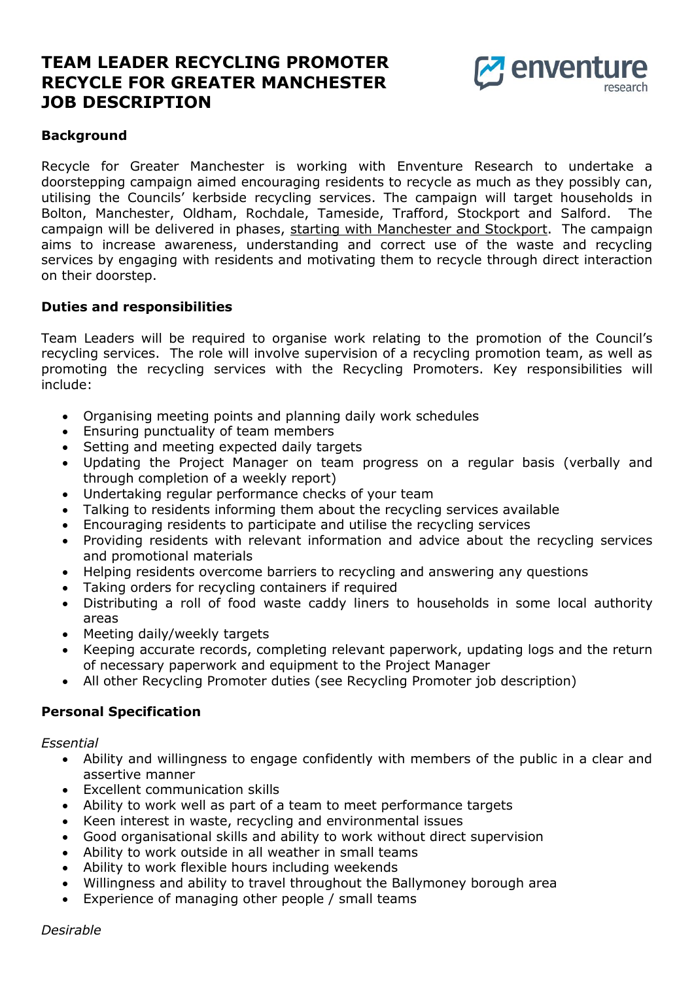# **TEAM LEADER RECYCLING PROMOTER RECYCLE FOR GREATER MANCHESTER JOB DESCRIPTION**



### **Background**

Recycle for Greater Manchester is working with Enventure Research to undertake a doorstepping campaign aimed encouraging residents to recycle as much as they possibly can, utilising the Councils' kerbside recycling services. The campaign will target households in Bolton, Manchester, Oldham, Rochdale, Tameside, Trafford, Stockport and Salford. The campaign will be delivered in phases, starting with Manchester and Stockport. The campaign aims to increase awareness, understanding and correct use of the waste and recycling services by engaging with residents and motivating them to recycle through direct interaction on their doorstep.

#### **Duties and responsibilities**

Team Leaders will be required to organise work relating to the promotion of the Council's recycling services. The role will involve supervision of a recycling promotion team, as well as promoting the recycling services with the Recycling Promoters. Key responsibilities will include:

- Organising meeting points and planning daily work schedules
- Ensuring punctuality of team members
- Setting and meeting expected daily targets
- Updating the Project Manager on team progress on a regular basis (verbally and through completion of a weekly report)
- Undertaking regular performance checks of your team
- Talking to residents informing them about the recycling services available
- Encouraging residents to participate and utilise the recycling services
- Providing residents with relevant information and advice about the recycling services and promotional materials
- Helping residents overcome barriers to recycling and answering any questions
- Taking orders for recycling containers if required
- Distributing a roll of food waste caddy liners to households in some local authority areas
- Meeting daily/weekly targets
- Keeping accurate records, completing relevant paperwork, updating logs and the return of necessary paperwork and equipment to the Project Manager
- All other Recycling Promoter duties (see Recycling Promoter job description)

## **Personal Specification**

*Essential* 

- Ability and willingness to engage confidently with members of the public in a clear and assertive manner
- Excellent communication skills
- Ability to work well as part of a team to meet performance targets
- Keen interest in waste, recycling and environmental issues
- Good organisational skills and ability to work without direct supervision
- Ability to work outside in all weather in small teams
- Ability to work flexible hours including weekends
- Willingness and ability to travel throughout the Ballymoney borough area
- Experience of managing other people / small teams

*Desirable*